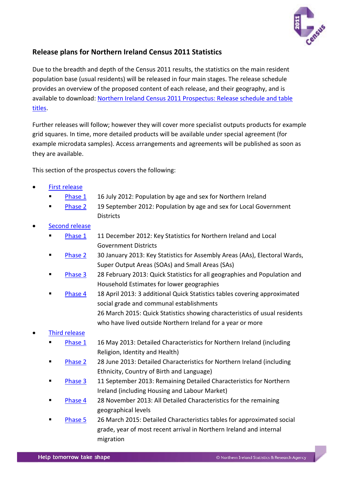

# <span id="page-0-0"></span>**Release plans for Northern Ireland Census 2011 Statistics**

Due to the breadth and depth of the Census 2011 results, the statistics on the main resident population base (usual residents) will be released in four main stages. The release schedule provides an overview of the proposed content of each release, and their geography, and is available to download: [Northern Ireland Census 2011 Prospectus: Release schedule and table](http://www.nisra.gov.uk/archive/census/2011/outputs/NI2011prospectus_release_schedule_table_titles.xls)  [titles.](http://www.nisra.gov.uk/archive/census/2011/outputs/NI2011prospectus_release_schedule_table_titles.xls)

Further releases will follow; however they will cover more specialist outputs products for example grid squares. In time, more detailed products will be available under special agreement (for example microdata samples). Access arrangements and agreements will be published as soon as they are available.

This section of the prospectus covers the following:

- [First release](#page-2-0)
	- [Phase 1](#page-2-0) 16 July 2012: Population by age and sex for Northern Ireland
	- [Phase 2](#page-3-0) 19 September 2012: Population by age and sex for Local Government **Districts**
- [Second release](#page-4-0)
	- [Phase 1](#page-4-0) 11 December 2012: Key Statistics for Northern Ireland and Local Government Districts
	- [Phase 2](#page-4-1) 30 January 2013: Key Statistics for Assembly Areas (AAs), Electoral Wards, Super Output Areas (SOAs) and Small Areas (SAs)
	- [Phase 3](#page-5-0) 28 February 2013: Quick Statistics for all geographies and Population and Household Estimates for lower geographies
	- [Phase 4](#page-5-1) 18 April 2013: 3 additional Quick Statistics tables covering approximated social grade and communal establishments 26 March 2015: Quick Statistics showing characteristics of usual residents who have lived outside Northern Ireland for a year or more

# • [Third release](#page-6-0)

- [Phase 1](#page-6-1) 16 May 2013: Detailed Characteristics for Northern Ireland (including Religion, Identity and Health)
- [Phase 2](#page-6-2) 28 June 2013: Detailed Characteristics for Northern Ireland (including Ethnicity, Country of Birth and Language)
- [Phase 3](#page-6-3) 11 September 2013: Remaining Detailed Characteristics for Northern Ireland (including Housing and Labour Market)
- [Phase 4](#page-6-4) 28 November 2013: All Detailed Characteristics for the remaining geographical levels
- [Phase 5](#page-6-5) 26 March 2015: Detailed Characteristics tables for approximated social grade, year of most recent arrival in Northern Ireland and internal migration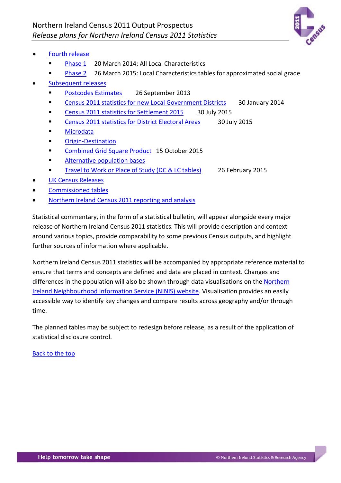

- [Fourth release](#page-8-0)
	- [Phase 1](#page-8-1) 20 March 2014: All Local Characteristics
	- [Phase 2](#page-8-2) 26 March 2015: Local Characteristics tables for approximated social grade
- [Subsequent releases](#page-9-0)
	- [Postcodes Estimates](#page-9-1) 26 September 2013
	- **Census 2011 [statistics for new Local Government Districts](#page-9-2) 30 January 2014**
	- [Census 2011 statistics for Settlement 2015](#page-9-3) 30 July 2015
	- [Census 2011 statistics for District Electoral Areas](#page-9-4) 30 July 2015
	- **[Microdata](#page-11-0)**
	- Origin-Destination
	- [Combined Grid Square Product](#page-12-0) 15 October 2015
	- [Alternative population bases](#page-13-0)
	- [Travel to Work or Place of Study \(DC & LC tables\)](#page-14-0) 26 February 2015
- [UK Census Releases](#page-15-0)
- [Commissioned tables](#page-18-0)
- [Northern Ireland Census 2011 reporting and analysis](#page-17-0)

Statistical commentary, in the form of a statistical bulletin, will appear alongside every major release of Northern Ireland Census 2011 statistics. This will provide description and context around various topics, provide comparability to some previous Census outputs, and highlight further sources of information where applicable.

Northern Ireland Census 2011 statistics will be accompanied by appropriate reference material to ensure that terms and concepts are defined and data are placed in context. Changes and differences in the population will also be shown through data visualisations on th[e Northern](http://www.ninis2.nisra.gov.uk/public/InteractiveMapTheme.aspx?themeNumber=136&themeName=Census%202011)  [Ireland Neighbourhood Information Service](http://www.ninis2.nisra.gov.uk/public/InteractiveMapTheme.aspx?themeNumber=136&themeName=Census%202011) (NINIS) website. Visualisation provides an easily accessible way to identify key changes and compare results across geography and/or through time.

The planned tables may be subject to redesign before release, as a result of the application of statistical disclosure control.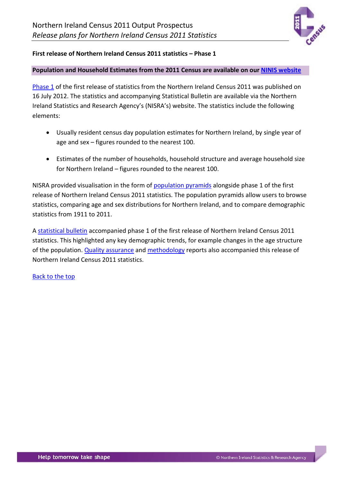

## <span id="page-2-0"></span>**First release of Northern Ireland Census 2011 statistics – Phase 1**

### **Population and Household Estimates from the 2011 Census are available on our [NINIS website](http://www.ninis2.nisra.gov.uk/public/SearchResults.aspx?sk=Demography;Usually;Resident;Population;Census;Population;Statistics&AllAny=1&numToFetch=200&DataInterBoth=1&FromAdvanced=true&dsk=136&dsv=Census%202011&gk=&gv=&sy=1981&ey=2037)**

[Phase 1](http://www.nisra.gov.uk/census/2011/results/population.html) of the first release of statistics from the Northern Ireland Census 2011 was published on 16 July 2012. The statistics and accompanying Statistical Bulletin are available via the Northern Ireland Statistics and Research Agency's (NISRA's) website. The statistics include the following elements:

- Usually resident census day population estimates for Northern Ireland, by single year of age and sex – figures rounded to the nearest 100.
- Estimates of the number of households, household structure and average household size for Northern Ireland – figures rounded to the nearest 100.

NISRA provided visualisation in the form of [population pyramids](http://www.ninis2.nisra.gov.uk/interactivemaps/Census%202011/Population%20Pyramids/NI/1911to2011%20population%20pyramid.svg) alongside phase 1 of the first release of Northern Ireland Census 2011 statistics. The population pyramids allow users to browse statistics, comparing age and sex distributions for Northern Ireland, and to compare demographic statistics from 1911 to 2011.

A [statistical bulletin](http://www.nisra.gov.uk/archive/census/2011/results/population-estimates/statistics-bulletin-16-07-2012.pdf) accompanied phase 1 of the first release of Northern Ireland Census 2011 statistics. This highlighted any key demographic trends, for example changes in the age structure of the population. [Quality assurance](http://www.nisra.gov.uk/archive/census/2011/results/population-estimates/quality-assurance-report-16-07-2012.pdf) and [methodology](http://www.nisra.gov.uk/archive/census/2011/methodology/overview.pdf) reports also accompanied this release of Northern Ireland Census 2011 statistics.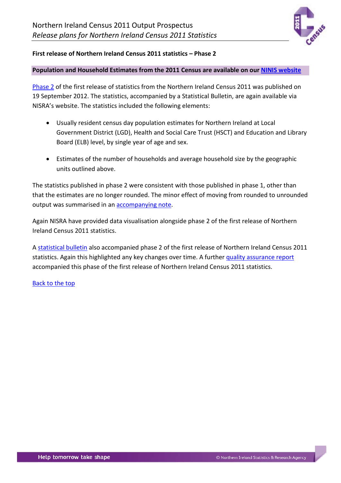

### <span id="page-3-0"></span>**First release of Northern Ireland Census 2011 statistics – Phase 2**

### **Population and Household Estimates from the 2011 Census are available on our [NINIS website](http://www.ninis2.nisra.gov.uk/public/SearchResults.aspx?sk=Demography;Usually;Resident;Population;Census;Population;Statistics&AllAny=1&numToFetch=200&DataInterBoth=1&FromAdvanced=true&dsk=136&dsv=Census%202011&gk=&gv=&sy=1981&ey=2037)**

[Phase 2](http://www.nisra.gov.uk/census/2011/results/population.html) of the first release of statistics from the Northern Ireland Census 2011 was published on 19 September 2012. The statistics, accompanied by a Statistical Bulletin, are again available via NISRA's website. The statistics included the following elements:

- Usually resident census day population estimates for Northern Ireland at Local Government District (LGD), Health and Social Care Trust (HSCT) and Education and Library Board (ELB) level, by single year of age and sex.
- Estimates of the number of households and average household size by the geographic units outlined above.

The statistics published in phase 2 were consistent with those published in phase 1, other than that the estimates are no longer rounded. The minor effect of moving from rounded to unrounded output was summarised in an [accompanying note.](http://www.nisra.gov.uk/archive/census/2011/results/population-estimates/northern-ireland-report-note.pdf)

Again NISRA have provided data visualisation alongside phase 2 of the first release of Northern Ireland Census 2011 statistics.

A [statistical bulletin](http://www.nisra.gov.uk/archive/census/2011/results/population-estimates/statistics-bulletin-19-09-2012.pdf) also accompanied phase 2 of the first release of Northern Ireland Census 2011 statistics. Again this highlighted any key changes over time. A further [quality assurance report](http://www.nisra.gov.uk/archive/census/2011/results/population-estimates/quality-assurance-report-19-09-2012.pdf) accompanied this phase of the first release of Northern Ireland Census 2011 statistics.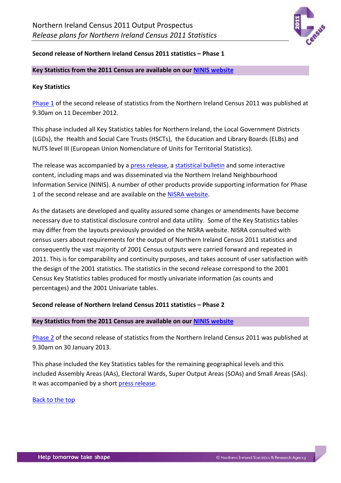

### <span id="page-4-0"></span>**Second release of Northern Ireland Census 2011 statistics – Phase 1**

### **Key Statistics from the 2011 Census are available on our [NINIS website](http://www.ninis2.nisra.gov.uk/public/SearchResults.aspx?sk=KS*&AllAny=1&numToFetch=200&DataInterBoth=1&FromAdvanced=true&dsk=136&dsv=Census%202011&gk=&gv=&sy=1981&ey=2037)**

### **Key Statistics**

[Phase 1](http://www.nisra.gov.uk/census/2011/results/key-statistics.html) of the second release of statistics from the Northern Ireland Census 2011 was published at 9.30am on 11 December 2012.

This phase included all Key Statistics tables for Northern Ireland, the Local Government Districts (LGDs), the Health and Social Care Trusts (HSCTs), the Education and Library Boards (ELBs) and NUTS level III (European Union Nomenclature of Units for Territorial Statistics).

The release was accompanied by a [press release,](http://www.nisra.gov.uk/archive/census/2011/results/key-statistics/press-release-11-12-2012.pdf) a [statistical bulletin](http://www.nisra.gov.uk/archive/census/2011/results/key-statistics/statistics-bulletin-11-12-2012.pdf) and some interactive content, including maps and was disseminated via the Northern Ireland Neighbourhood Information Service (NINIS). A number of other products provide supporting information for Phase 1 of the second release and are available on the [NISRA website.](http://www.nisra.gov.uk/census/2011/results/key-statistics.html)

As the datasets are developed and quality assured some changes or amendments have become necessary due to statistical disclosure control and data utility. Some of the Key Statistics tables may differ from the layouts previously provided on the NISRA website. NISRA consulted with census users about requirements for the output of Northern Ireland Census 2011 statistics and consequently the vast majority of 2001 Census outputs were carried forward and repeated in 2011. This is for comparability and continuity purposes, and takes account of user satisfaction with the design of the 2001 statistics. The statistics in the second release correspond to the 2001 Census Key Statistics tables produced for mostly univariate information (as counts and percentages) and the 2001 Univariate tables.

## <span id="page-4-1"></span>**Second release of Northern Ireland Census 2011 statistics – Phase 2**

### **Key Statistics from the 2011 Census are available on our [NINIS website](http://www.ninis2.nisra.gov.uk/public/SearchResults.aspx?sk=KS*&AllAny=1&numToFetch=200&DataInterBoth=1&FromAdvanced=true&dsk=136&dsv=Census%202011&gk=&gv=&sy=1981&ey=2037)**

[Phase 2](http://www.nisra.gov.uk/census/2011/results/key-statistics.html) of the second release of statistics from the Northern Ireland Census 2011 was published at 9.30am on 30 January 2013.

This phase included the Key Statistics tables for the remaining geographical levels and this included Assembly Areas (AAs), Electoral Wards, Super Output Areas (SOAs) and Small Areas (SAs). It was accompanied by a short [press release.](http://www.nisra.gov.uk/archive/census/2011/results/key-statistics/press-release-30-01-2013.pdf)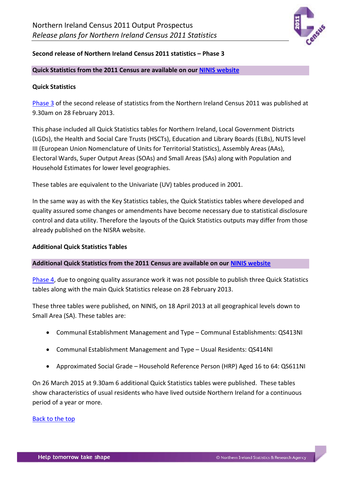

### <span id="page-5-0"></span>**Second release of Northern Ireland Census 2011 statistics – Phase 3**

### **Quick Statistics from the 2011 Census are available on our [NINIS website](http://www.ninis2.nisra.gov.uk/public/Theme.aspx?themeNumber=136&themeName=Census%202011)**

### **Quick Statistics**

[Phase 3](http://www.nisra.gov.uk/census/2011/results/quick-statistics.html) of the second release of statistics from the Northern Ireland Census 2011 was published at 9.30am on 28 February 2013.

This phase included all Quick Statistics tables for Northern Ireland, Local Government Districts (LGDs), the Health and Social Care Trusts (HSCTs), Education and Library Boards (ELBs), NUTS level III (European Union Nomenclature of Units for Territorial Statistics), Assembly Areas (AAs), Electoral Wards, Super Output Areas (SOAs) and Small Areas (SAs) along with Population and Household Estimates for lower level geographies.

These tables are equivalent to the Univariate (UV) tables produced in 2001.

In the same way as with the Key Statistics tables, the Quick Statistics tables where developed and quality assured some changes or amendments have become necessary due to statistical disclosure control and data utility. Therefore the layouts of the Quick Statistics outputs may differ from those already published on the NISRA website.

### **Additional Quick Statistics Tables**

### **Additional Quick Statistics from the 2011 Census are available on our [NINIS website](http://www.ninis2.nisra.gov.uk/public/SearchResults.aspx?sk=QS413NI;QS414NI;QS611NI&AllAny=2&numToFetch=200&DataInterBoth=1&FromAdvanced=true&dsk=136&dsv=Census%202011&gk=&gv=&sy=1981&ey=2037)**

<span id="page-5-1"></span>[Phase 4,](http://www.nisra.gov.uk/census/2011/results/quick-statistics.html) due to ongoing quality assurance work it was not possible to publish three Quick Statistics tables along with the main Quick Statistics release on 28 February 2013.

These three tables were published, on NINIS, on 18 April 2013 at all geographical levels down to Small Area (SA). These tables are:

- Communal Establishment Management and Type Communal Establishments: QS413NI
- Communal Establishment Management and Type Usual Residents: QS414NI
- Approximated Social Grade Household Reference Person (HRP) Aged 16 to 64: QS611NI

On 26 March 2015 at 9.30am 6 additional Quick Statistics tables were published. These tables show characteristics of usual residents who have lived outside Northern Ireland for a continuous period of a year or more.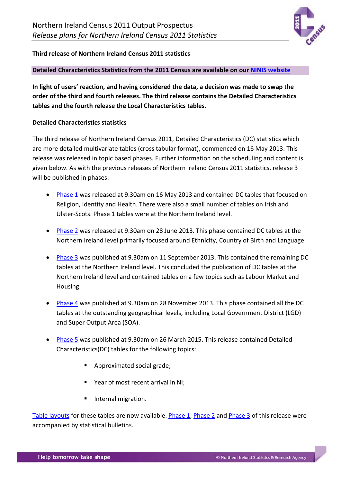

### <span id="page-6-0"></span>**Third release of Northern Ireland Census 2011 statistics**

### **Detailed Characteristics Statistics from the 2011 Census are available on our [NINIS website](http://www.ninis2.nisra.gov.uk/public/Theme.aspx?themeNumber=136&themeName=Census%202011)**

**In light of users' reaction, and having considered the data, a decision was made to swap the order of the third and fourth releases. The third release contains the Detailed Characteristics tables and the fourth release the Local Characteristics tables.**

### **Detailed Characteristics statistics**

The third release of Northern Ireland Census 2011, Detailed Characteristics (DC) statistics which are more detailed multivariate tables (cross tabular format), commenced on 16 May 2013. This release was released in topic based phases. Further information on the scheduling and content is given below. As with the previous releases of Northern Ireland Census 2011 statistics, release 3 will be published in phases:

- <span id="page-6-1"></span>• [Phase 1](http://www.nisra.gov.uk/census/2011/results/detailed-characteristics.html) was released at 9.30am on 16 May 2013 and contained DC tables that focused on Religion, Identity and Health. There were also a small number of tables on Irish and Ulster-Scots. Phase 1 tables were at the Northern Ireland level.
- <span id="page-6-2"></span>• [Phase 2](http://www.nisra.gov.uk/census/2011/results/detailed-characteristics.html) was released at 9.30am on 28 June 2013. This phase contained DC tables at the Northern Ireland level primarily focused around Ethnicity, Country of Birth and Language.
- <span id="page-6-3"></span>• [Phase 3](http://www.nisra.gov.uk/census/2011/results/detailed-characteristics.html) was published at 9.30am on 11 September 2013. This contained the remaining DC tables at the Northern Ireland level. This concluded the publication of DC tables at the Northern Ireland level and contained tables on a few topics such as Labour Market and Housing.
- <span id="page-6-4"></span>• [Phase 4](http://www.nisra.gov.uk/census/2011/results/detailed-characteristics.html) was published at 9.30am on 28 November 2013. This phase contained all the DC tables at the outstanding geographical levels, including Local Government District (LGD) and Super Output Area (SOA).
- <span id="page-6-5"></span>• [Phase 5](http://www.nisra.gov.uk/census/2011/results/detailed-characteristics.html) was published at 9.30am on 26 March 2015. This release contained Detailed Characteristics(DC) tables for the following topics:
	- **Approximated social grade;**
	- Year of most recent arrival in NI;
	- Internal migration.

[Table layouts](http://www.nisra.gov.uk/archive/census/2011/results/detailed-characteristics-table-layouts.xlsx) for these tables are now available. [Phase 1,](http://www.nisra.gov.uk/archive/census/2011/results/detailed-characteristics/statistics-bulletin-16-05-2013.pdf) [Phase 2](http://www.nisra.gov.uk/archive/census/2011/results/detailed-characteristics/statistics-bulletin-28-06-2013.pdf) and [Phase 3](http://www.nisra.gov.uk/archive/census/2011/results/detailed-characteristics/statistics-bulletin-11-09-2013.pdf) of this release were accompanied by statistical bulletins.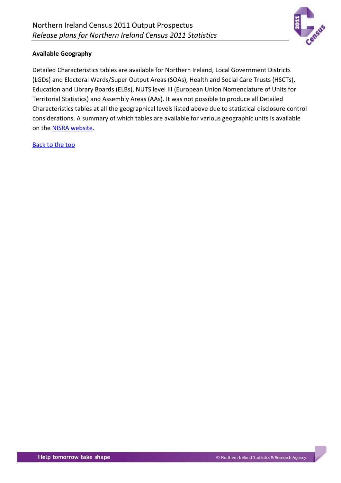

### **Available Geography**

Detailed Characteristics tables are available for Northern Ireland, Local Government Districts (LGDs) and Electoral Wards/Super Output Areas (SOAs), Health and Social Care Trusts (HSCTs), Education and Library Boards (ELBs), NUTS level III (European Union Nomenclature of Units for Territorial Statistics) and Assembly Areas (AAs). It was not possible to produce all Detailed Characteristics tables at all the geographical levels listed above due to statistical disclosure control considerations. A summary of which tables are available for various geographic units is available on the [NISRA website.](http://www.nisra.gov.uk/archive/census/2011/results/detailed-characteristics-table-layouts.xlsx)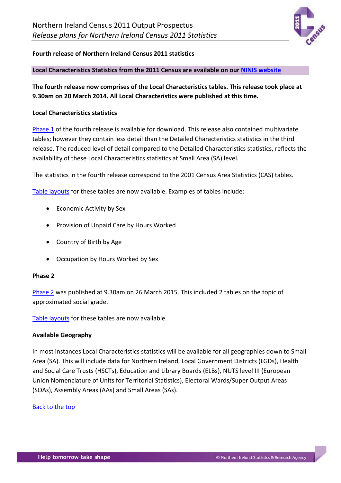

### <span id="page-8-0"></span>**Fourth release of Northern Ireland Census 2011 statistics**

#### **Local Characteristics Statistics from the 2011 Census are available on our [NINIS website](http://www.ninis2.nisra.gov.uk/public/Theme.aspx?themeNumber=136&themeName=Census%202011)**

**The fourth release now comprises of the Local Characteristics tables. This release took place at 9.30am on 20 March 2014. All Local Characteristics were published at this time.**

#### **Local Characteristics statistics**

<span id="page-8-1"></span>[Phase 1](http://www.nisra.gov.uk/census/2011/results/local-characteristics.html) of the fourth release is available for download. This release also contained multivariate tables; however they contain less detail than the Detailed Characteristics statistics in the third release. The reduced level of detail compared to the Detailed Characteristics statistics, reflects the availability of these Local Characteristics statistics at Small Area (SA) level.

The statistics in the fourth release correspond to the 2001 Census Area Statistics (CAS) tables.

[Table layouts](http://www.nisra.gov.uk/archive/census/2011/results/local-characteristics-table-layouts.xlsx) for these tables are now available. Examples of tables include:

- Economic Activity by Sex
- Provision of Unpaid Care by Hours Worked
- Country of Birth by Age
- Occupation by Hours Worked by Sex

#### <span id="page-8-2"></span>**Phase 2**

[Phase 2](http://www.nisra.gov.uk/census/2011/results/local-characteristics.html) was published at 9.30am on 26 March 2015. This included 2 tables on the topic of approximated social grade.

[Table layouts](http://www.nisra.gov.uk/archive/census/2011/results/local-characteristics-table-layouts.xlsx) for these tables are now available.

#### **Available Geography**

In most instances Local Characteristics statistics will be available for all geographies down to Small Area (SA). This will include data for Northern Ireland, Local Government Districts (LGDs), Health and Social Care Trusts (HSCTs), Education and Library Boards (ELBs), NUTS level III (European Union Nomenclature of Units for Territorial Statistics), Electoral Wards/Super Output Areas (SOAs), Assembly Areas (AAs) and Small Areas (SAs).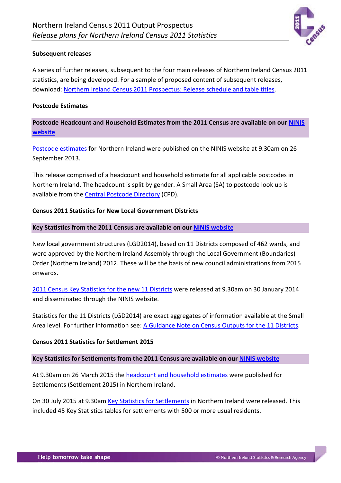

### <span id="page-9-0"></span>**Subsequent releases**

A series of further releases, subsequent to the four main releases of Northern Ireland Census 2011 statistics, are being developed. For a sample of proposed content of subsequent releases, download: [Northern Ireland Census 2011 Prospectus: Release schedule and table titles.](http://www.nisra.gov.uk/census/2011CensusProposedOutputs.html)

#### <span id="page-9-1"></span>**Postcode Estimates**

**Postcode Headcount and Household Estimates from the 2011 Census are available on our [NINIS](http://www.ninis2.nisra.gov.uk/Download/Census%202011_Winzip/2011/Headcount%20and%20Household%20Estimates%20for%20Postcodes.ZIP)  [website](http://www.ninis2.nisra.gov.uk/Download/Census%202011_Winzip/2011/Headcount%20and%20Household%20Estimates%20for%20Postcodes.ZIP)**

[Postcode estimates](http://www.nisra.gov.uk/census/2011/results/postcode.html) for Northern Ireland were published on the NINIS website at 9.30am on 26 September 2013.

This release comprised of a headcount and household estimate for all applicable postcodes in Northern Ireland. The headcount is split by gender. A Small Area (SA) to postcode look up is available from the [Central Postcode Directory](http://www.nisra.gov.uk/geography/postcode.htm) (CPD).

### <span id="page-9-2"></span>**Census 2011 Statistics for New Local Government Districts**

### **Key Statistics from the 2011 Census are available on our [NINIS website](http://www.ninis2.nisra.gov.uk/public/SearchResults.aspx?sk=Key;Statistics*&AllAny=2&numToFetch=200&DataInterBoth=1&FromAdvanced=true&dsk=136&dsv=Census%202011&gk=22&gv=Local%20Government%20District%20(2014)&sy=1981&ey=2037)**

New local government structures (LGD2014), based on 11 Districts composed of 462 wards, and were approved by the Northern Ireland Assembly through the Local Government (Boundaries) Order (Northern Ireland) 2012. These will be the basis of new council administrations from 2015 onwards.

[2011 Census Key Statistics for](http://www.nisra.gov.uk/census/2011/results/key-statistics.html) the new 11 Districts were released at 9.30am on 30 January 2014 and disseminated through the NINIS website.

Statistics for the 11 Districts (LGD2014) are exact aggregates of information available at the Small Area level. For further information see: [A Guidance Note on Census Outputs for the 11 Districts.](http://www.nisra.gov.uk/archive/census/2011/results/new-11-districts.pdf)

### <span id="page-9-3"></span>**Census 2011 Statistics for Settlement 2015**

### **Key Statistics for Settlements from the 2011 Census are available on our [NINIS website](http://www.ninis2.nisra.gov.uk/public/SearchResults.aspx?sk=(Settlement;2015)&AllAny=1&numToFetch=200&DataInterBoth=1&FromAdvanced=true&dsk=136&dsv=Census%202011&gk=23&gv=Settlement%20(2015)&sy=1981&ey=2037)**

At 9.30am on 26 March 2015 the [headcount and household estimates](http://www.nisra.gov.uk/census/2011/results/settlements.html) were published for Settlements (Settlement 2015) in Northern Ireland.

<span id="page-9-4"></span>On 30 July 2015 at 9.30am [Key Statistics for Settlements](http://www.nisra.gov.uk/census/2011/results/key-statistics.html) in Northern Ireland were released. This included 45 Key Statistics tables for settlements with 500 or more usual residents.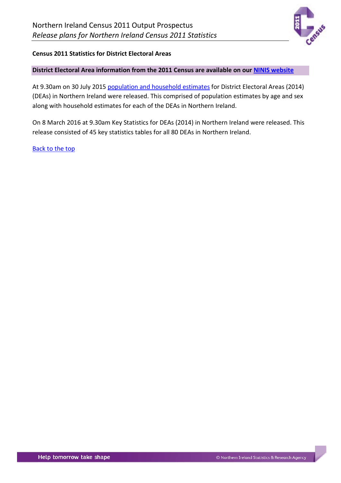

### **Census 2011 Statistics for District Electoral Areas**

### **District Electoral Area information from the 2011 Census are available on our [NINIS website](http://www.ninis2.nisra.gov.uk/public/SearchResults.aspx?sk=CT*&AllAny=1&numToFetch=200&DataInterBoth=1&FromAdvanced=true&dsk=136&dsv=Census%202011&gk=24&gv=DEA2014&sy=1981&ey=2037)**

At 9.30am on 30 July 2015 [population and household estimates](http://www.nisra.gov.uk/census/2011/results/population.html) for District Electoral Areas (2014) (DEAs) in Northern Ireland were released. This comprised of population estimates by age and sex along with household estimates for each of the DEAs in Northern Ireland.

On 8 March 2016 at 9.30am Key Statistics for DEAs (2014) in Northern Ireland were released. This release consisted of 45 key statistics tables for all 80 DEAs in Northern Ireland.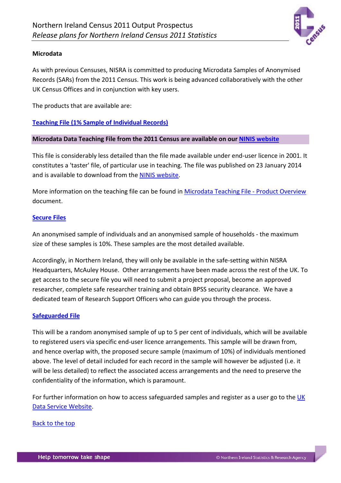

### <span id="page-11-0"></span>**Microdata**

As with previous Censuses, NISRA is committed to producing Microdata Samples of Anonymised Records (SARs) from the 2011 Census. This work is being advanced collaboratively with the other UK Census Offices and in conjunction with key users.

The products that are available are:

**[Teaching File \(1% Sample of Individual Records\)](http://www.nisra.gov.uk/census/2011/results/specialist-products/microdata-teaching-file.html)**

### **Microdata Data Teaching File from the 2011 Census are available on our [NINIS website](http://www.ninis2.nisra.gov.uk/public/SearchResults.aspx?sk=microdata;)**

This file is considerably less detailed than the file made available under end-user licence in 2001. It constitutes a 'taster' file, of particular use in teaching. The file was published on 23 January 2014 and is available to download from th[e NINIS website.](http://www.ninis2.nisra.gov.uk/public/SearchResults.aspx?sk=microdata;)

More information on the teaching file can be found in [Microdata Teaching File -](http://www.nisra.gov.uk/archive/census/2011/results/microdata-product-overview.pdf) Product Overview document.

### **[Secure Files](http://www.nisra.gov.uk/census/2011/results/specialist-products/secure-microdata.html)**

An anonymised sample of individuals and an anonymised sample of households - the maximum size of these samples is 10%. These samples are the most detailed available.

Accordingly, in Northern Ireland, they will only be available in the safe-setting within NISRA Headquarters, McAuley House. Other arrangements have been made across the rest of the UK. To get access to the secure file you will need to submit a project proposal, become an approved researcher, complete safe researcher training and obtain BPSS security clearance. We have a dedicated team of Research Support Officers who can guide you through the process.

### **[Safeguarded File](http://www.nisra.gov.uk/census/2011/results/specialist-products/safeguarded-microdata.html)**

This will be a random anonymised sample of up to 5 per cent of individuals, which will be available to registered users via specific end-user licence arrangements. This sample will be drawn from, and hence overlap with, the proposed secure sample (maximum of 10%) of individuals mentioned above. The level of detail included for each record in the sample will however be adjusted (i.e. it will be less detailed) to reflect the associated access arrangements and the need to preserve the confidentiality of the information, which is paramount.

For further information on how to access safeguarded samples and register as a user go to the UK [Data Service Website.](http://census.ukdataservice.ac.uk/get-data/microdata/2011-micro-plans.aspx)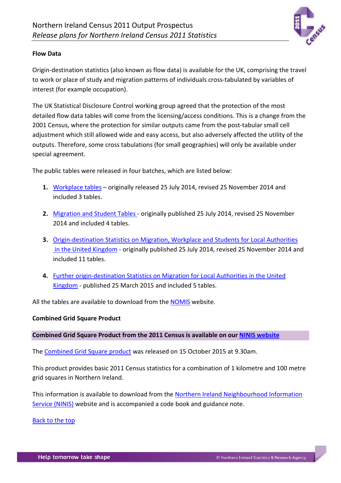

### **Flow Data**

Origin-destination statistics (also known as flow data) is available for the UK, comprising the travel to work or place of study and migration patterns of individuals cross-tabulated by variables of interest (for example occupation).

The UK Statistical Disclosure Control working group agreed that the protection of the most detailed flow data tables will come from the licensing/access conditions. This is a change from the 2001 Census, where the protection for similar outputs came from the post-tabular small cell adjustment which still allowed wide and easy access, but also adversely affected the utility of the outputs. Therefore, some cross tabulations (for small geographies) will only be available under special agreement.

The public tables were released in four batches, which are listed below:

- **1.** [Workplace tables](http://www.nisra.gov.uk/census/2011/results/uk-origin-destination.html) originally released 25 July 2014, revised 25 November 2014 and included 3 tables.
- **2.** [Migration and Student Tables -](http://www.nisra.gov.uk/census/2011/results/uk-origin-destination.html) originally published 25 July 2014, revised 25 November 2014 and included 4 tables.
- **3.** [Origin-destination Statistics on Migration, Workplace and Students for Local Authorities](http://www.nisra.gov.uk/census/2011/results/uk-origin-destination.html) [in the United Kingdom](http://www.nisra.gov.uk/census/2011/results/uk-origin-destination.html) - originally published 25 July 2014, revised 25 November 2014 and included 11 tables.
- **4.** [Further origin-destination Statistics on Migration for Local Authorities](http://www.nisra.gov.uk/census/2011/results/uk-origin-destination.html) in the United [Kingdom](http://www.nisra.gov.uk/census/2011/results/uk-origin-destination.html) - published 25 March 2015 and included 5 tables.

All the tables are available to download from the **NOMIS** website.

### <span id="page-12-0"></span>**Combined Grid Square Product**

### **Combined Grid Square Product from the 2011 Census is available on our [NINIS website](http://www.ninis2.nisra.gov.uk/public/SearchResults.aspx?sk=combined;grid;square*&AllAny=1&numToFetch=200&DataInterBoth=1&FromAdvanced=true&dsk=136&dsv=Census%202011&gk=&gv=&sy=1981&ey=2037)**

The [Combined Grid Square product](http://www.nisra.gov.uk/census/2011/results/grid-square.html) was released on 15 October 2015 at 9.30am.

This product provides basic 2011 Census statistics for a combination of 1 kilometre and 100 metre grid squares in Northern Ireland.

This information is available to download from the [Northern Ireland Neighbourhood Information](http://www.ninis2.nisra.gov.uk/public/SearchResults.aspx?sk=grid;square*&AllAny=1&numToFetch=200&DataInterBoth=1&FromAdvanced=true&dsk=136&dsv=Census%202011&gk=&gv=&sy=1981&ey=2037)  [Service \(NINIS\)](http://www.ninis2.nisra.gov.uk/public/SearchResults.aspx?sk=grid;square*&AllAny=1&numToFetch=200&DataInterBoth=1&FromAdvanced=true&dsk=136&dsv=Census%202011&gk=&gv=&sy=1981&ey=2037) website and is accompanied a code book and guidance note.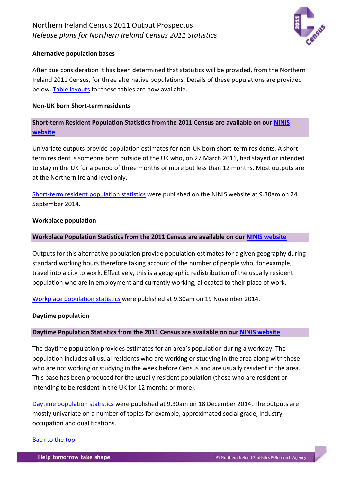

### <span id="page-13-0"></span>**Alternative population bases**

After due consideration it has been determined that statistics will be provided, from the Northern Ireland 2011 Census, for three alternative populations. Details of these populations are provided below. [Table layouts](http://www.nisra.gov.uk/archive/census/2011/results/alternative-populations-table-layouts.xlsx) for these tables are now available.

### **Non-UK born Short-term residents**

# **Short-term Resident Population Statistics from the 2011 Census are available on our [NINIS](http://www.ninis2.nisra.gov.uk/public/SearchResults.aspx?sk=(Short-Term;Residents)&AllAny=1&numToFetch=200&DataInterBoth=1&FromAdvanced=true&dsk=136&dsv=Census%202011&gk=&gv=&sy=1981&ey=2037)  [website](http://www.ninis2.nisra.gov.uk/public/SearchResults.aspx?sk=(Short-Term;Residents)&AllAny=1&numToFetch=200&DataInterBoth=1&FromAdvanced=true&dsk=136&dsv=Census%202011&gk=&gv=&sy=1981&ey=2037)**

Univariate outputs provide population estimates for non-UK born short-term residents. A shortterm resident is someone born outside of the UK who, on 27 March 2011, had stayed or intended to stay in the UK for a period of three months or more but less than 12 months. Most outputs are at the Northern Ireland level only.

Short-term resident [population statistics](http://www.nisra.gov.uk/census/2011/results/alternative-populations.html) were published on the NINIS website at 9.30am on 24 September 2014.

### **Workplace population**

### **Workplace Population Statistics from the 2011 Census are available on our [NINIS website](http://www.ninis2.nisra.gov.uk/public/SearchResults.aspx?sk=Workplace;Population*&AllAny=1&numToFetch=200&DataInterBoth=1&FromAdvanced=true&dsk=136&dsv=Census%202011&gk=&gv=&sy=1981&ey=2037)**

Outputs for this alternative population provide population estimates for a given geography during standard working hours therefore taking account of the number of people who, for example, travel into a city to work. Effectively, this is a geographic redistribution of the usually resident population who are in employment and currently working, allocated to their place of work.

[Workplace population statistics](http://www.nisra.gov.uk/census/2011/results/alternative-populations.html) were published at 9.30am on 19 November 2014.

### **Daytime population**

### **Daytime Population Statistics from the 2011 Census are available on our [NINIS website](http://www.ninis2.nisra.gov.uk/public/SearchResults.aspx?sk=Daytime;Population*&AllAny=1&numToFetch=200&DataInterBoth=1&FromAdvanced=true&dsk=136&dsv=Census%202011&gk=&gv=&sy=1981&ey=2037)**

The daytime population provides estimates for an area's population during a workday. The population includes all usual residents who are working or studying in the area along with those who are not working or studying in the week before Census and are usually resident in the area. This base has been produced for the usually resident population (those who are resident or intending to be resident in the UK for 12 months or more).

[Daytime population statistics](http://www.nisra.gov.uk/census/2011/results/alternative-populations.html) were published at 9.30am on 18 December 2014. The outputs are mostly univariate on a number of topics for example, approximated social grade, industry, occupation and qualifications.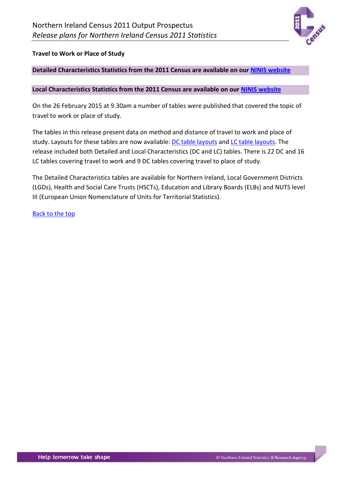

### <span id="page-14-0"></span>**Travel to Work or Place of Study**

### **Detailed Characteristics Statistics from the 2011 Census are available on our [NINIS website](http://www.ninis2.nisra.gov.uk/public/SearchResults.aspx?sk=DC7*&AllAny=1&numToFetch=200&DataInterBoth=1&FromAdvanced=true&dsk=136&dsv=Census%202011&gk=&gv=&sy=1981&ey=2037)**

#### **Local Characteristics Statistics from the 2011 Census are available on our [NINIS website](http://www.ninis2.nisra.gov.uk/public/SearchResults.aspx?sk=LC7*&AllAny=1&numToFetch=200&DataInterBoth=1&FromAdvanced=true&dsk=136&dsv=Census%202011&gk=&gv=&sy=1981&ey=2037)**

On the 26 February 2015 at 9.30am a number of tables were published that covered the topic of travel to work or place of study.

The tables in this release present data on method and distance of travel to work and place of study. Layouts for these tables are now available: [DC table layouts](http://www.nisra.gov.uk/archive/census/2011/results/detailed-characteristics-table-layouts.xlsx) and [LC table layouts.](http://www.nisra.gov.uk/archive/census/2011/results/local-characteristics-table-layouts.xlsx) The release included both Detailed and Local Characteristics (DC and LC) tables. There is 22 DC and 16 LC tables covering travel to work and 9 DC tables covering travel to place of study.

The Detailed Characteristics tables are available for Northern Ireland, Local Government Districts (LGDs), Health and Social Care Trusts (HSCTs), Education and Library Boards (ELBs) and NUTS level III (European Union Nomenclature of Units for Territorial Statistics).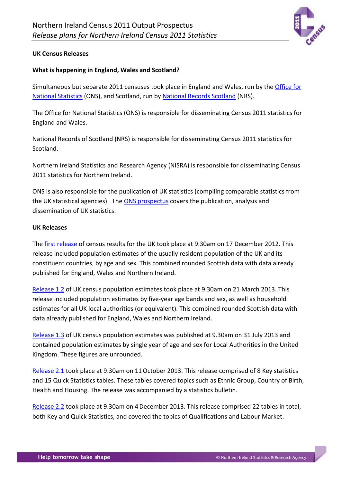

### <span id="page-15-0"></span>**UK Census Releases**

### **What is happening in England, Wales and Scotland?**

Simultaneous but separate 2011 censuses took place in England and Wales, run by the [Office for](http://www.ons.gov.uk/ons/guide-method/census/2011/index.html)  [National Statistics](http://www.ons.gov.uk/ons/guide-method/census/2011/index.html) (ONS), and Scotland, run by [National Records Scotland](http://www.gro-scotland.gov.uk/census/censushm2011/index.html) (NRS).

The Office for National Statistics (ONS) is responsible for disseminating Census 2011 statistics for England and Wales.

National Records of Scotland (NRS) is responsible for disseminating Census 2011 statistics for Scotland.

Northern Ireland Statistics and Research Agency (NISRA) is responsible for disseminating Census 2011 statistics for Northern Ireland.

ONS is also responsible for the publication of UK statistics (compiling comparable statistics from the UK statistical agencies). The [ONS prospectus](http://www.ons.gov.uk/ons/guide-method/census/2011/census-data/2011-census-prospectus/index.html) covers the publication, analysis and dissemination of UK statistics.

#### **UK Releases**

The [first release](http://www.ons.gov.uk/ons/rel/census/2011-census/population-and-household-estimates-for-the-united-kingdom/index.html) of census results for the UK took place at 9.30am on 17 December 2012. This release included population estimates of the usually resident population of the UK and its constituent countries, by age and sex. This combined rounded Scottish data with data already published for England, Wales and Northern Ireland.

[Release 1.2](http://www.ons.gov.uk/ons/rel/census/2011-census/population-estimates-by-five-year-age-bands--and-household-estimates--for-local-authorities-in-the-united-kingdom/index.html) of UK census population estimates took place at 9.30am on 21 March 2013. This release included population estimates by five-year age bands and sex, as well as household estimates for all UK local authorities (or equivalent). This combined rounded Scottish data with data already published for England, Wales and Northern Ireland.

[Release 1.3](http://www.ons.gov.uk/ons/rel/census/2011-census/population-estimates-by-single-year-of-age-and-sex-for-local-authorities-in-the-united-kingdom/index.html) of UK census population estimates was published at 9.30am on 31 July 2013 and contained population estimates by single year of age and sex for Local Authorities in the United Kingdom. These figures are unrounded.

[Release 2.1](http://www.ons.gov.uk/ons/rel/census/2011-census/key-statistics-and-quick-statistics-for-local-authorities-in-the-united-kingdom---part-1/index.html) took place at 9.30am on 11October 2013. This release comprised of 8 Key statistics and 15 Quick Statistics tables. These tables covered topics such as Ethnic Group, Country of Birth, Health and Housing. The release was accompanied by a statistics bulletin.

[Release 2.2](http://www.ons.gov.uk/ons/rel/census/2011-census/key-statistics-and-quick-statistics-for-local-authorities-in-the-united-kingdom---part-2/index.html) took place at 9.30am on 4December 2013. This release comprised 22 tables in total, both Key and Quick Statistics, and covered the topics of Qualifications and Labour Market.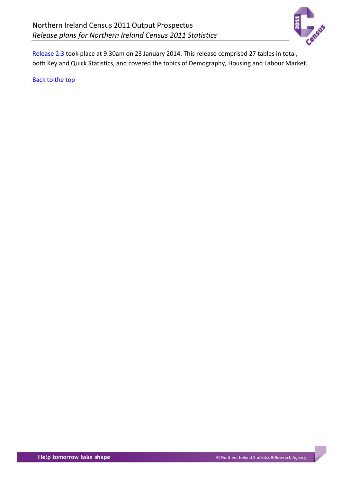

[Release 2.3](http://www.ons.gov.uk/ons/dcp19975_347616.xml) took place at 9.30am on 23 January 2014. This release comprised 27 tables in total, both Key and Quick Statistics, and covered the topics of Demography, Housing and Labour Market.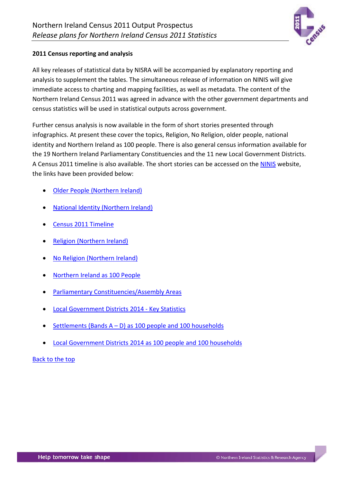

### <span id="page-17-0"></span>**2011 Census reporting and analysis**

All key releases of statistical data by NISRA will be accompanied by explanatory reporting and analysis to supplement the tables. The simultaneous release of information on NINIS will give immediate access to charting and mapping facilities, as well as metadata. The content of the Northern Ireland Census 2011 was agreed in advance with the other government departments and census statistics will be used in statistical outputs across government.

Further census analysis is now available in the form of short stories presented through infographics. At present these cover the topics, Religion, No Religion, older people, national identity and Northern Ireland as 100 people. There is also general census information available for the 19 Northern Ireland Parliamentary Constituencies and the 11 new Local Government Districts. A Census 2011 timeline is also available. The short stories can be accessed on the [NINIS](http://www.ninis2.nisra.gov.uk/public/census2011analysis/index.aspx) website, the links have been provided below:

- Older People [\(Northern Ireland\)](http://www.ninis2.nisra.gov.uk/public/census2011analysis/olderpeople/index.aspx)
- National Identity [\(Northern Ireland\)](http://www.ninis2.nisra.gov.uk/public/census2011analysis/nationalidentity/index.aspx)
- Census 2011 [Timeline](http://www.ninis2.nisra.gov.uk/public/census2011analysis/timeline/index.aspx)
- Religion [\(Northern Ireland\)](http://www.ninis2.nisra.gov.uk/public/census2011analysis/religion/index.aspx)
- No Religion [\(Northern Ireland\)](http://www.ninis2.nisra.gov.uk/public/census2011analysis/noreligion/index.aspx)
- [Northern Ireland](http://www.ninis2.nisra.gov.uk/public/census2011analysis/100people/index.aspx) as 100 People
- [Parliamentary Constituencies/Assembly Areas](http://www.ninis2.nisra.gov.uk/public/census2011analysis/pc/index.aspx)
- [Local Government Districts 2014 -](http://www.ninis2.nisra.gov.uk/public/census2011analysis/lgd2014/index.aspx) Key Statistics
- Settlements (Bands  $A D$ ) as 100 people and 100 households
- [Local Government Districts 2014 as 100 people and 100 households](http://www.ninis2.nisra.gov.uk/public/census2011analysis/lgd2014peoplehouseholds/index.aspx)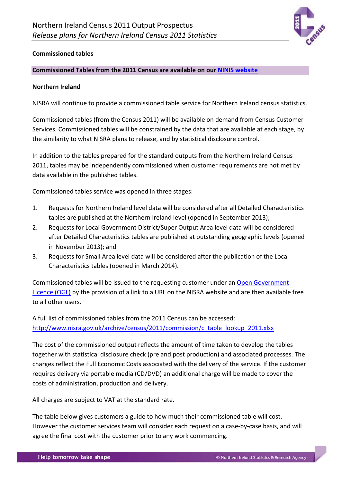

### <span id="page-18-0"></span>**Commissioned tables**

### **Commissioned Tables from the 2011 Census are available on our [NINIS website](http://www.ninis2.nisra.gov.uk/public/SearchResults.aspx?sk=CT*&AllAny=1&numToFetch=200&DataInterBoth=1&FromAdvanced=true&dsk=136&dsv=Census%202011&gk=&gv=&sy=1981&ey=2037)**

### **Northern Ireland**

NISRA will continue to provide a commissioned table service for Northern Ireland census statistics.

Commissioned tables (from the Census 2011) will be available on demand from Census Customer Services. Commissioned tables will be constrained by the data that are available at each stage, by the similarity to what NISRA plans to release, and by statistical disclosure control.

In addition to the tables prepared for the standard outputs from the Northern Ireland Census 2011, tables may be independently commissioned when customer requirements are not met by data available in the published tables.

Commissioned tables service was opened in three stages:

- 1. Requests for Northern Ireland level data will be considered after all Detailed Characteristics tables are published at the Northern Ireland level (opened in September 2013);
- 2. Requests for Local Government District/Super Output Area level data will be considered after Detailed Characteristics tables are published at outstanding geographic levels (opened in November 2013); and
- 3. Requests for Small Area level data will be considered after the publication of the Local Characteristics tables (opened in March 2014).

Commissioned tables will be issued to the requesting customer under an [Open Government](http://www.nationalarchives.gov.uk/doc/open-government-licence/version/)  [Licence \(OGL\)](http://www.nationalarchives.gov.uk/doc/open-government-licence/version/) by the provision of a link to a URL on the NISRA website and are then available free to all other users.

A full list of commissioned tables from the 2011 Census can be accessed: [http://www.nisra.gov.uk/archive/census/2011/commission/c\\_table\\_lookup\\_2011.xlsx](http://www.nisra.gov.uk/archive/census/2011/commission/c_table_lookup_2011.xlsx)

The cost of the commissioned output reflects the amount of time taken to develop the tables together with statistical disclosure check (pre and post production) and associated processes. The charges reflect the Full Economic Costs associated with the delivery of the service. If the customer requires delivery via portable media (CD/DVD) an additional charge will be made to cover the costs of administration, production and delivery.

All charges are subject to VAT at the standard rate.

The table below gives customers a guide to how much their commissioned table will cost. However the customer services team will consider each request on a case-by-case basis, and will agree the final cost with the customer prior to any work commencing.